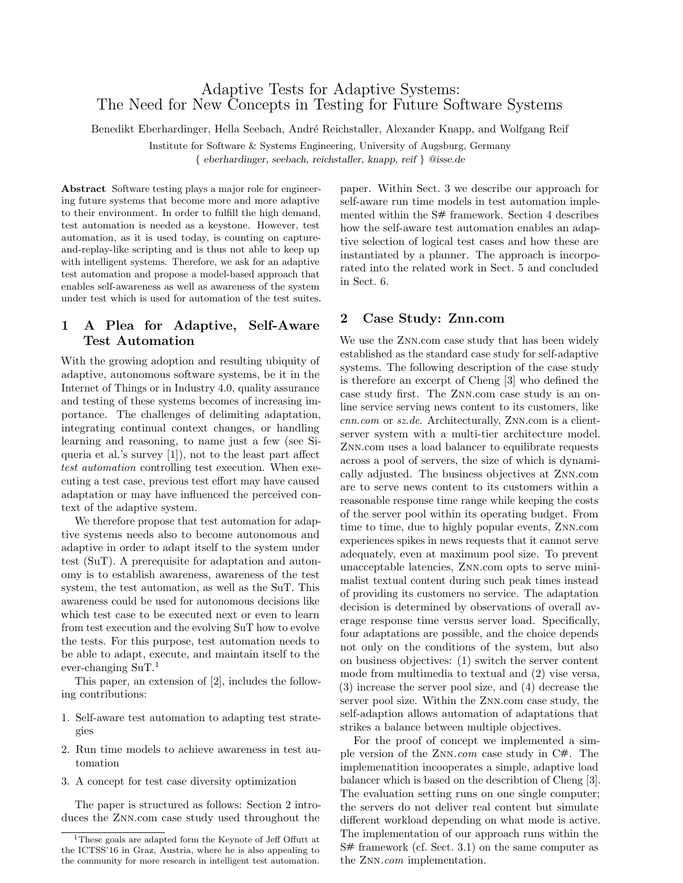# Adaptive Tests for Adaptive Systems: The Need for New Concepts in Testing for Future Software Systems

Benedikt Eberhardinger, Hella Seebach, André Reichstaller, Alexander Knapp, and Wolfgang Reif

Institute for Software & Systems Engineering, University of Augsburg, Germany

{ eberhardinger, seebach, reichstaller, knapp, reif } @isse.de

Abstract Software testing plays a major role for engineering future systems that become more and more adaptive to their environment. In order to fulfill the high demand, test automation is needed as a keystone. However, test automation, as it is used today, is counting on captureand-replay-like scripting and is thus not able to keep up with intelligent systems. Therefore, we ask for an adaptive test automation and propose a model-based approach that enables self-awareness as well as awareness of the system under test which is used for automation of the test suites.

## 1 A Plea for Adaptive, Self-Aware Test Automation

With the growing adoption and resulting ubiquity of adaptive, autonomous software systems, be it in the Internet of Things or in Industry 4.0, quality assurance and testing of these systems becomes of increasing importance. The challenges of delimiting adaptation, integrating continual context changes, or handling learning and reasoning, to name just a few (see Siqueria et al.'s survey [1]), not to the least part affect test automation controlling test execution. When executing a test case, previous test effort may have caused adaptation or may have influenced the perceived context of the adaptive system.

We therefore propose that test automation for adaptive systems needs also to become autonomous and adaptive in order to adapt itself to the system under test (SuT). A prerequisite for adaptation and autonomy is to establish awareness, awareness of the test system, the test automation, as well as the SuT. This awareness could be used for autonomous decisions like which test case to be executed next or even to learn from test execution and the evolving SuT how to evolve the tests. For this purpose, test automation needs to be able to adapt, execute, and maintain itself to the ever-changing  $\text{Sur}^1$ 

This paper, an extension of [2], includes the following contributions:

- 1. Self-aware test automation to adapting test strategies
- 2. Run time models to achieve awareness in test automation
- 3. A concept for test case diversity optimization

The paper is structured as follows: Section 2 introduces the Znn.com case study used throughout the

paper. Within Sect. 3 we describe our approach for self-aware run time models in test automation implemented within the S# framework. Section 4 describes how the self-aware test automation enables an adaptive selection of logical test cases and how these are instantiated by a planner. The approach is incorporated into the related work in Sect. 5 and concluded in Sect. 6.

## 2 Case Study: Znn.com

We use the ZNN.com case study that has been widely established as the standard case study for self-adaptive systems. The following description of the case study is therefore an excerpt of Cheng [3] who defined the case study first. The Znn.com case study is an online service serving news content to its customers, like cnn.com or sz.de. Architecturally, Znn.com is a clientserver system with a multi-tier architecture model. Znn.com uses a load balancer to equilibrate requests across a pool of servers, the size of which is dynamically adjusted. The business objectives at Znn.com are to serve news content to its customers within a reasonable response time range while keeping the costs of the server pool within its operating budget. From time to time, due to highly popular events, Znn.com experiences spikes in news requests that it cannot serve adequately, even at maximum pool size. To prevent unacceptable latencies, Znn.com opts to serve minimalist textual content during such peak times instead of providing its customers no service. The adaptation decision is determined by observations of overall average response time versus server load. Specifically, four adaptations are possible, and the choice depends not only on the conditions of the system, but also on business objectives: (1) switch the server content mode from multimedia to textual and (2) vise versa, (3) increase the server pool size, and (4) decrease the server pool size. Within the Znn.com case study, the self-adaption allows automation of adaptations that strikes a balance between multiple objectives.

For the proof of concept we implemented a simple version of the Znn.com case study in C#. The implemenatition incooperates a simple, adaptive load balancer which is based on the describtion of Cheng [3]. The evaluation setting runs on one single computer; the servers do not deliver real content but simulate different workload depending on what mode is active. The implementation of our approach runs within the S# framework (cf. Sect. 3.1) on the same computer as the ZNN.com implementation.

<sup>1</sup>These goals are adapted form the Keynote of Jeff Offutt at the ICTSS'16 in Graz, Austria, where he is also appealing to the community for more research in intelligent test automation.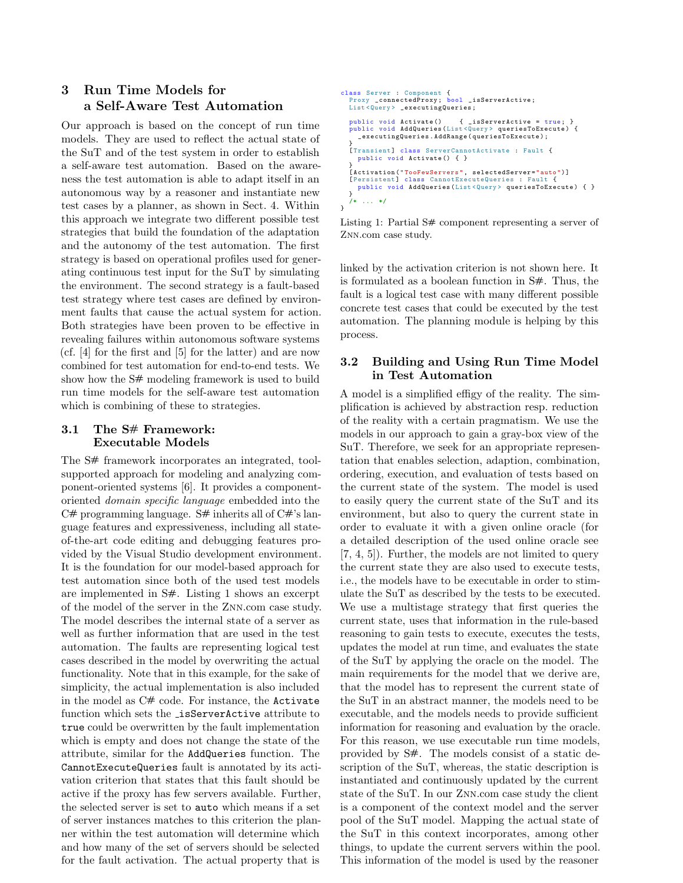# 3 Run Time Models for a Self-Aware Test Automation

Our approach is based on the concept of run time models. They are used to reflect the actual state of the SuT and of the test system in order to establish a self-aware test automation. Based on the awareness the test automation is able to adapt itself in an autonomous way by a reasoner and instantiate new test cases by a planner, as shown in Sect. 4. Within this approach we integrate two different possible test strategies that build the foundation of the adaptation and the autonomy of the test automation. The first strategy is based on operational profiles used for generating continuous test input for the SuT by simulating the environment. The second strategy is a fault-based test strategy where test cases are defined by environment faults that cause the actual system for action. Both strategies have been proven to be effective in revealing failures within autonomous software systems (cf. [4] for the first and [5] for the latter) and are now combined for test automation for end-to-end tests. We show how the  $S#$  modeling framework is used to build run time models for the self-aware test automation which is combining of these to strategies.

### 3.1 The S# Framework: Executable Models

The S# framework incorporates an integrated, toolsupported approach for modeling and analyzing component-oriented systems [6]. It provides a componentoriented domain specific language embedded into the  $C#$  programming language.  $S#$  inherits all of  $C#$ 's language features and expressiveness, including all stateof-the-art code editing and debugging features provided by the Visual Studio development environment. It is the foundation for our model-based approach for test automation since both of the used test models are implemented in S#. Listing 1 shows an excerpt of the model of the server in the Znn.com case study. The model describes the internal state of a server as well as further information that are used in the test automation. The faults are representing logical test cases described in the model by overwriting the actual functionality. Note that in this example, for the sake of simplicity, the actual implementation is also included in the model as C# code. For instance, the Activate function which sets the isServerActive attribute to true could be overwritten by the fault implementation which is empty and does not change the state of the attribute, similar for the AddQueries function. The CannotExecuteQueries fault is annotated by its activation criterion that states that this fault should be active if the proxy has few servers available. Further, the selected server is set to auto which means if a set of server instances matches to this criterion the planner within the test automation will determine which and how many of the set of servers should be selected for the fault activation. The actual property that is

```
class Server : Component {
Proxy _connectedProxy ; bool _isServerActive ;
  List<Query> _executingQueries;
   public void Activate() { _isServerActive = true; }<br>public void AddQueries(List<Query> queriesToExecute) {<br>_executingQueries.AddRange(queriesToExecute);
   }
[ Transient ] class ServerCannotActivate : Fault {
     public void Activate () { }
   }<br>[Activation("TooFewServers", selectedServer="auto")]<br>[Persistent] class CannotExecuteQueries : Fault {
      ersistent] class CannotExecuteQueries : Fault {<br>public void AddQueries(List<Query> queriesToExecute) { }
   }
        \ldots */
}
```
Listing 1: Partial S# component representing a server of Znn.com case study.

linked by the activation criterion is not shown here. It is formulated as a boolean function in S#. Thus, the fault is a logical test case with many different possible concrete test cases that could be executed by the test automation. The planning module is helping by this process.

### 3.2 Building and Using Run Time Model in Test Automation

A model is a simplified effigy of the reality. The simplification is achieved by abstraction resp. reduction of the reality with a certain pragmatism. We use the models in our approach to gain a gray-box view of the SuT. Therefore, we seek for an appropriate representation that enables selection, adaption, combination, ordering, execution, and evaluation of tests based on the current state of the system. The model is used to easily query the current state of the SuT and its environment, but also to query the current state in order to evaluate it with a given online oracle (for a detailed description of the used online oracle see [7, 4, 5]). Further, the models are not limited to query the current state they are also used to execute tests, i.e., the models have to be executable in order to stimulate the SuT as described by the tests to be executed. We use a multistage strategy that first queries the current state, uses that information in the rule-based reasoning to gain tests to execute, executes the tests, updates the model at run time, and evaluates the state of the SuT by applying the oracle on the model. The main requirements for the model that we derive are, that the model has to represent the current state of the SuT in an abstract manner, the models need to be executable, and the models needs to provide sufficient information for reasoning and evaluation by the oracle. For this reason, we use executable run time models, provided by S#. The models consist of a static description of the SuT, whereas, the static description is instantiated and continuously updated by the current state of the SuT. In our Znn.com case study the client is a component of the context model and the server pool of the SuT model. Mapping the actual state of the SuT in this context incorporates, among other things, to update the current servers within the pool. This information of the model is used by the reasoner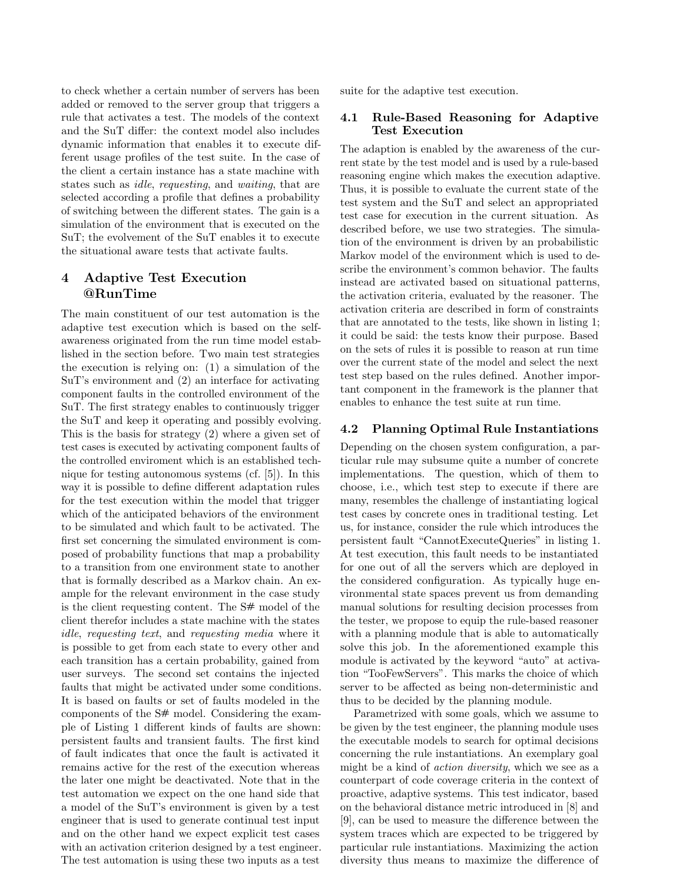to check whether a certain number of servers has been added or removed to the server group that triggers a rule that activates a test. The models of the context and the SuT differ: the context model also includes dynamic information that enables it to execute different usage profiles of the test suite. In the case of the client a certain instance has a state machine with states such as idle, requesting, and waiting, that are selected according a profile that defines a probability of switching between the different states. The gain is a simulation of the environment that is executed on the SuT; the evolvement of the SuT enables it to execute the situational aware tests that activate faults.

## 4 Adaptive Test Execution @RunTime

The main constituent of our test automation is the adaptive test execution which is based on the selfawareness originated from the run time model established in the section before. Two main test strategies the execution is relying on: (1) a simulation of the SuT's environment and (2) an interface for activating component faults in the controlled environment of the SuT. The first strategy enables to continuously trigger the SuT and keep it operating and possibly evolving. This is the basis for strategy (2) where a given set of test cases is executed by activating component faults of the controlled enviroment which is an established technique for testing autonomous systems (cf. [5]). In this way it is possible to define different adaptation rules for the test execution within the model that trigger which of the anticipated behaviors of the environment to be simulated and which fault to be activated. The first set concerning the simulated environment is composed of probability functions that map a probability to a transition from one environment state to another that is formally described as a Markov chain. An example for the relevant environment in the case study is the client requesting content. The S# model of the client therefor includes a state machine with the states idle, requesting text, and requesting media where it is possible to get from each state to every other and each transition has a certain probability, gained from user surveys. The second set contains the injected faults that might be activated under some conditions. It is based on faults or set of faults modeled in the components of the S# model. Considering the example of Listing 1 different kinds of faults are shown: persistent faults and transient faults. The first kind of fault indicates that once the fault is activated it remains active for the rest of the execution whereas the later one might be deactivated. Note that in the test automation we expect on the one hand side that a model of the SuT's environment is given by a test engineer that is used to generate continual test input and on the other hand we expect explicit test cases with an activation criterion designed by a test engineer. The test automation is using these two inputs as a test

suite for the adaptive test execution.

#### 4.1 Rule-Based Reasoning for Adaptive Test Execution

The adaption is enabled by the awareness of the current state by the test model and is used by a rule-based reasoning engine which makes the execution adaptive. Thus, it is possible to evaluate the current state of the test system and the SuT and select an appropriated test case for execution in the current situation. As described before, we use two strategies. The simulation of the environment is driven by an probabilistic Markov model of the environment which is used to describe the environment's common behavior. The faults instead are activated based on situational patterns, the activation criteria, evaluated by the reasoner. The activation criteria are described in form of constraints that are annotated to the tests, like shown in listing 1; it could be said: the tests know their purpose. Based on the sets of rules it is possible to reason at run time over the current state of the model and select the next test step based on the rules defined. Another important component in the framework is the planner that enables to enhance the test suite at run time.

### 4.2 Planning Optimal Rule Instantiations

Depending on the chosen system configuration, a particular rule may subsume quite a number of concrete implementations. The question, which of them to choose, i.e., which test step to execute if there are many, resembles the challenge of instantiating logical test cases by concrete ones in traditional testing. Let us, for instance, consider the rule which introduces the persistent fault "CannotExecuteQueries" in listing 1. At test execution, this fault needs to be instantiated for one out of all the servers which are deployed in the considered configuration. As typically huge environmental state spaces prevent us from demanding manual solutions for resulting decision processes from the tester, we propose to equip the rule-based reasoner with a planning module that is able to automatically solve this job. In the aforementioned example this module is activated by the keyword "auto" at activation "TooFewServers". This marks the choice of which server to be affected as being non-deterministic and thus to be decided by the planning module.

Parametrized with some goals, which we assume to be given by the test engineer, the planning module uses the executable models to search for optimal decisions concerning the rule instantiations. An exemplary goal might be a kind of action diversity, which we see as a counterpart of code coverage criteria in the context of proactive, adaptive systems. This test indicator, based on the behavioral distance metric introduced in [8] and [9], can be used to measure the difference between the system traces which are expected to be triggered by particular rule instantiations. Maximizing the action diversity thus means to maximize the difference of